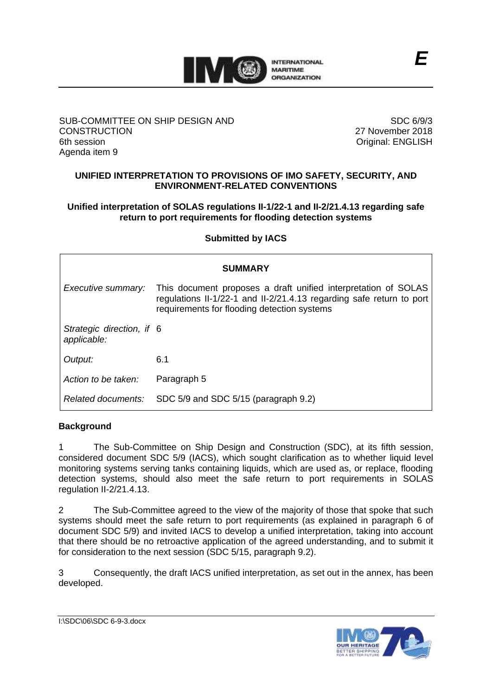

## SUB-COMMITTEE ON SHIP DESIGN AND **CONSTRUCTION** 6th session Agenda item 9

SDC 6/9/3 27 November 2018 Original: ENGLISH

# **UNIFIED INTERPRETATION TO PROVISIONS OF IMO SAFETY, SECURITY, AND ENVIRONMENT-RELATED CONVENTIONS**

# **Unified interpretation of SOLAS regulations II-1/22-1 and II-2/21.4.13 regarding safe return to port requirements for flooding detection systems**

# **Submitted by IACS**

| <b>SUMMARY</b>                           |                                                                                                                                                                                       |
|------------------------------------------|---------------------------------------------------------------------------------------------------------------------------------------------------------------------------------------|
| Executive summary:                       | This document proposes a draft unified interpretation of SOLAS<br>regulations II-1/22-1 and II-2/21.4.13 regarding safe return to port<br>requirements for flooding detection systems |
| Strategic direction, if 6<br>applicable: |                                                                                                                                                                                       |
| Output:                                  | 6.1                                                                                                                                                                                   |
| Action to be taken:                      | Paragraph 5                                                                                                                                                                           |
| Related documents:                       | SDC 5/9 and SDC 5/15 (paragraph 9.2)                                                                                                                                                  |

# **Background**

1 The Sub-Committee on Ship Design and Construction (SDC), at its fifth session, considered document SDC 5/9 (IACS), which sought clarification as to whether liquid level monitoring systems serving tanks containing liquids, which are used as, or replace, flooding detection systems, should also meet the safe return to port requirements in SOLAS regulation II-2/21.4.13.

2 The Sub-Committee agreed to the view of the majority of those that spoke that such systems should meet the safe return to port requirements (as explained in paragraph 6 of document SDC 5/9) and invited IACS to develop a unified interpretation, taking into account that there should be no retroactive application of the agreed understanding, and to submit it for consideration to the next session (SDC 5/15, paragraph 9.2).

3 Consequently, the draft IACS unified interpretation, as set out in the annex, has been developed.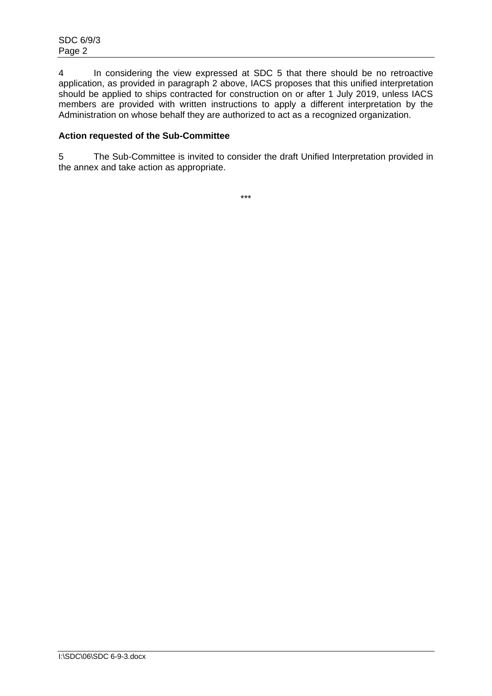4 In considering the view expressed at SDC 5 that there should be no retroactive application, as provided in paragraph 2 above, IACS proposes that this unified interpretation should be applied to ships contracted for construction on or after 1 July 2019, unless IACS members are provided with written instructions to apply a different interpretation by the Administration on whose behalf they are authorized to act as a recognized organization.

# **Action requested of the Sub-Committee**

5 The Sub-Committee is invited to consider the draft Unified Interpretation provided in the annex and take action as appropriate.

\*\*\*